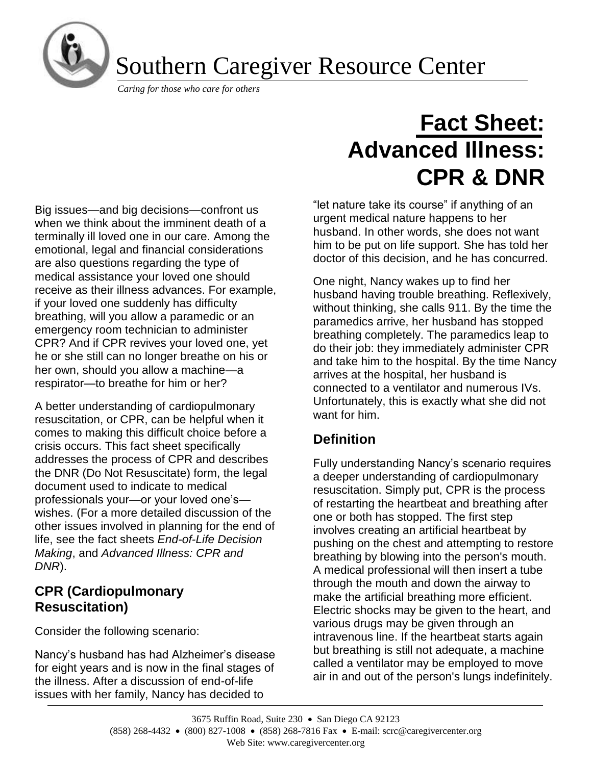

## Southern Caregiver Resource Center

*Caring for those who care for others*

Big issues—and big decisions—confront us when we think about the imminent death of a terminally ill loved one in our care. Among the emotional, legal and financial considerations are also questions regarding the type of medical assistance your loved one should receive as their illness advances. For example, if your loved one suddenly has difficulty breathing, will you allow a paramedic or an emergency room technician to administer CPR? And if CPR revives your loved one, yet he or she still can no longer breathe on his or her own, should you allow a machine—a respirator—to breathe for him or her?

A better understanding of cardiopulmonary resuscitation, or CPR, can be helpful when it comes to making this difficult choice before a crisis occurs. This fact sheet specifically addresses the process of CPR and describes the DNR (Do Not Resuscitate) form, the legal document used to indicate to medical professionals your—or your loved one's wishes. (For a more detailed discussion of the other issues involved in planning for the end of life, see the fact sheets *End-of-Life Decision Making*, and *Advanced Illness: CPR and DNR*).

## **CPR (Cardiopulmonary Resuscitation)**

Consider the following scenario:

Nancy's husband has had Alzheimer's disease for eight years and is now in the final stages of the illness. After a discussion of end-of-life issues with her family, Nancy has decided to

# **Fact Sheet: Advanced Illness: CPR & DNR**

"let nature take its course" if anything of an urgent medical nature happens to her husband. In other words, she does not want him to be put on life support. She has told her doctor of this decision, and he has concurred.

One night, Nancy wakes up to find her husband having trouble breathing. Reflexively, without thinking, she calls 911. By the time the paramedics arrive, her husband has stopped breathing completely. The paramedics leap to do their job: they immediately administer CPR and take him to the hospital. By the time Nancy arrives at the hospital, her husband is connected to a ventilator and numerous IVs. Unfortunately, this is exactly what she did not want for him.

## **Definition**

Fully understanding Nancy's scenario requires a deeper understanding of cardiopulmonary resuscitation. Simply put, CPR is the process of restarting the heartbeat and breathing after one or both has stopped. The first step involves creating an artificial heartbeat by pushing on the chest and attempting to restore breathing by blowing into the person's mouth. A medical professional will then insert a tube through the mouth and down the airway to make the artificial breathing more efficient. Electric shocks may be given to the heart, and various drugs may be given through an intravenous line. If the heartbeat starts again but breathing is still not adequate, a machine called a ventilator may be employed to move air in and out of the person's lungs indefinitely.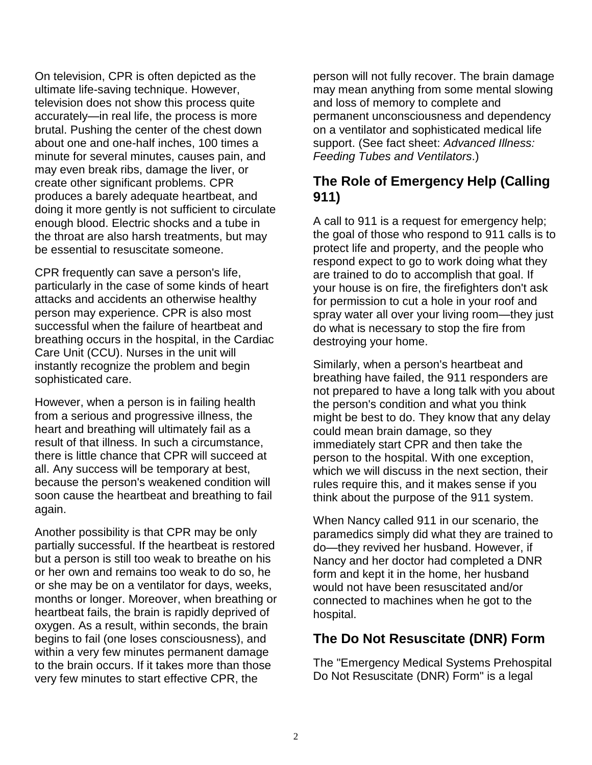On television, CPR is often depicted as the ultimate life-saving technique. However, television does not show this process quite accurately—in real life, the process is more brutal. Pushing the center of the chest down about one and one-half inches, 100 times a minute for several minutes, causes pain, and may even break ribs, damage the liver, or create other significant problems. CPR produces a barely adequate heartbeat, and doing it more gently is not sufficient to circulate enough blood. Electric shocks and a tube in the throat are also harsh treatments, but may be essential to resuscitate someone.

CPR frequently can save a person's life, particularly in the case of some kinds of heart attacks and accidents an otherwise healthy person may experience. CPR is also most successful when the failure of heartbeat and breathing occurs in the hospital, in the Cardiac Care Unit (CCU). Nurses in the unit will instantly recognize the problem and begin sophisticated care.

However, when a person is in failing health from a serious and progressive illness, the heart and breathing will ultimately fail as a result of that illness. In such a circumstance, there is little chance that CPR will succeed at all. Any success will be temporary at best, because the person's weakened condition will soon cause the heartbeat and breathing to fail again.

Another possibility is that CPR may be only partially successful. If the heartbeat is restored but a person is still too weak to breathe on his or her own and remains too weak to do so, he or she may be on a ventilator for days, weeks, months or longer. Moreover, when breathing or heartbeat fails, the brain is rapidly deprived of oxygen. As a result, within seconds, the brain begins to fail (one loses consciousness), and within a very few minutes permanent damage to the brain occurs. If it takes more than those very few minutes to start effective CPR, the

person will not fully recover. The brain damage may mean anything from some mental slowing and loss of memory to complete and permanent unconsciousness and dependency on a ventilator and sophisticated medical life support. (See fact sheet: *Advanced Illness: Feeding Tubes and Ventilators*.)

#### **The Role of Emergency Help (Calling 911)**

A call to 911 is a request for emergency help; the goal of those who respond to 911 calls is to protect life and property, and the people who respond expect to go to work doing what they are trained to do to accomplish that goal. If your house is on fire, the firefighters don't ask for permission to cut a hole in your roof and spray water all over your living room—they just do what is necessary to stop the fire from destroying your home.

Similarly, when a person's heartbeat and breathing have failed, the 911 responders are not prepared to have a long talk with you about the person's condition and what you think might be best to do. They know that any delay could mean brain damage, so they immediately start CPR and then take the person to the hospital. With one exception, which we will discuss in the next section, their rules require this, and it makes sense if you think about the purpose of the 911 system.

When Nancy called 911 in our scenario, the paramedics simply did what they are trained to do—they revived her husband. However, if Nancy and her doctor had completed a DNR form and kept it in the home, her husband would not have been resuscitated and/or connected to machines when he got to the hospital.

#### **The Do Not Resuscitate (DNR) Form**

The "Emergency Medical Systems Prehospital Do Not Resuscitate (DNR) Form" is a legal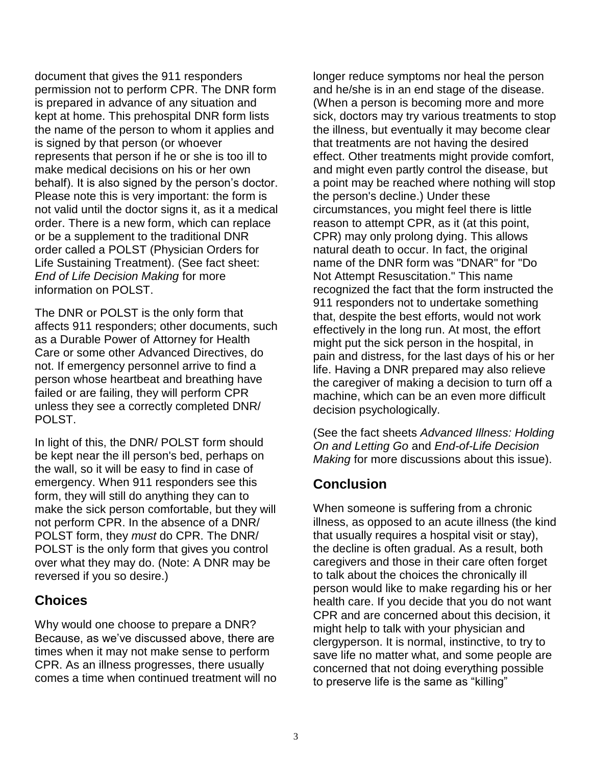document that gives the 911 responders permission not to perform CPR. The DNR form is prepared in advance of any situation and kept at home. This prehospital DNR form lists the name of the person to whom it applies and is signed by that person (or whoever represents that person if he or she is too ill to make medical decisions on his or her own behalf). It is also signed by the person's doctor. Please note this is very important: the form is not valid until the doctor signs it, as it a medical order. There is a new form, which can replace or be a supplement to the traditional DNR order called a POLST (Physician Orders for Life Sustaining Treatment). (See fact sheet: *End of Life Decision Making* for more information on POLST.

The DNR or POLST is the only form that affects 911 responders; other documents, such as a Durable Power of Attorney for Health Care or some other Advanced Directives, do not. If emergency personnel arrive to find a person whose heartbeat and breathing have failed or are failing, they will perform CPR unless they see a correctly completed DNR/ POLST.

In light of this, the DNR/ POLST form should be kept near the ill person's bed, perhaps on the wall, so it will be easy to find in case of emergency. When 911 responders see this form, they will still do anything they can to make the sick person comfortable, but they will not perform CPR. In the absence of a DNR/ POLST form, they *must* do CPR. The DNR/ POLST is the only form that gives you control over what they may do. (Note: A DNR may be reversed if you so desire.)

#### **Choices**

Why would one choose to prepare a DNR? Because, as we've discussed above, there are times when it may not make sense to perform CPR. As an illness progresses, there usually comes a time when continued treatment will no longer reduce symptoms nor heal the person and he/she is in an end stage of the disease. (When a person is becoming more and more sick, doctors may try various treatments to stop the illness, but eventually it may become clear that treatments are not having the desired effect. Other treatments might provide comfort, and might even partly control the disease, but a point may be reached where nothing will stop the person's decline.) Under these circumstances, you might feel there is little reason to attempt CPR, as it (at this point, CPR) may only prolong dying. This allows natural death to occur. In fact, the original name of the DNR form was "DNAR" for "Do Not Attempt Resuscitation." This name recognized the fact that the form instructed the 911 responders not to undertake something that, despite the best efforts, would not work effectively in the long run. At most, the effort might put the sick person in the hospital, in pain and distress, for the last days of his or her life. Having a DNR prepared may also relieve the caregiver of making a decision to turn off a machine, which can be an even more difficult decision psychologically.

(See the fact sheets *Advanced Illness: Holding On and Letting Go* and *End-of-Life Decision Making* for more discussions about this issue).

#### **Conclusion**

When someone is suffering from a chronic illness, as opposed to an acute illness (the kind that usually requires a hospital visit or stay), the decline is often gradual. As a result, both caregivers and those in their care often forget to talk about the choices the chronically ill person would like to make regarding his or her health care. If you decide that you do not want CPR and are concerned about this decision, it might help to talk with your physician and clergyperson. It is normal, instinctive, to try to save life no matter what, and some people are concerned that not doing everything possible to preserve life is the same as "killing"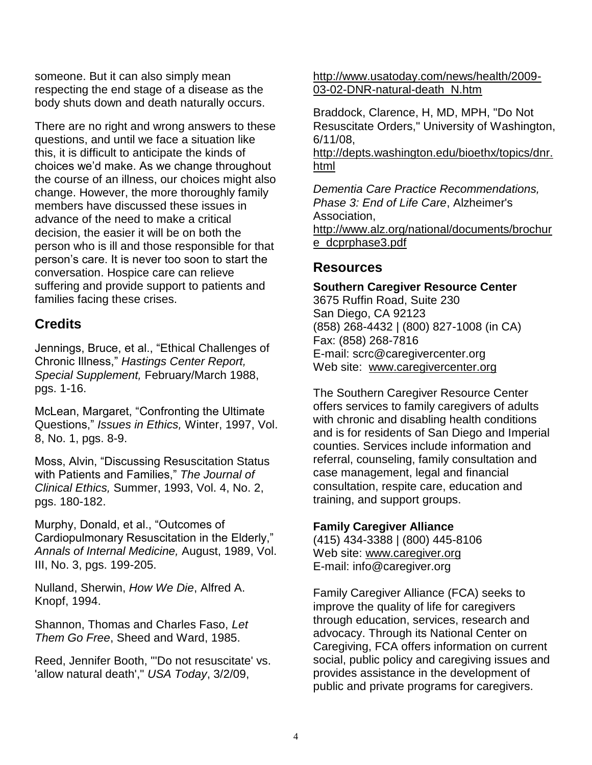someone. But it can also simply mean respecting the end stage of a disease as the body shuts down and death naturally occurs.

There are no right and wrong answers to these questions, and until we face a situation like this, it is difficult to anticipate the kinds of choices we'd make. As we change throughout the course of an illness, our choices might also change. However, the more thoroughly family members have discussed these issues in advance of the need to make a critical decision, the easier it will be on both the person who is ill and those responsible for that person's care. It is never too soon to start the conversation. Hospice care can relieve suffering and provide support to patients and families facing these crises.

#### **Credits**

Jennings, Bruce, et al., "Ethical Challenges of Chronic Illness," *Hastings Center Report, Special Supplement,* February/March 1988, pgs. 1-16.

McLean, Margaret, "Confronting the Ultimate Questions," *Issues in Ethics,* Winter, 1997, Vol. 8, No. 1, pgs. 8-9.

Moss, Alvin, "Discussing Resuscitation Status with Patients and Families," *The Journal of Clinical Ethics,* Summer, 1993, Vol. 4, No. 2, pgs. 180-182.

Murphy, Donald, et al., "Outcomes of Cardiopulmonary Resuscitation in the Elderly," *Annals of Internal Medicine,* August, 1989, Vol. III, No. 3, pgs. 199-205.

Nulland, Sherwin, *How We Die*, Alfred A. Knopf, 1994.

Shannon, Thomas and Charles Faso, *Let Them Go Free*, Sheed and Ward, 1985.

Reed, Jennifer Booth, "'Do not resuscitate' vs. 'allow natural death'," *USA Today*, 3/2/09,

[http://www.usatoday.com/news/health/2009-](http://www.usatoday.com/news/health/2009-03-02-DNR-natural-death_N.htm) [03-02-DNR-natural-death\\_N.htm](http://www.usatoday.com/news/health/2009-03-02-DNR-natural-death_N.htm)

Braddock, Clarence, H, MD, MPH, "Do Not Resuscitate Orders," University of Washington, 6/11/08, [http://depts.washington.edu/bioethx/topics/dnr.](http://depts.washington.edu/bioethx/topics/dnr.html) [html](http://depts.washington.edu/bioethx/topics/dnr.html)

*Dementia Care Practice Recommendations, Phase 3: End of Life Care*, Alzheimer's Association, [http://www.alz.org/national/documents/brochur](http://www.alz.org/national/documents/brochure_dcprphase3.pdf) [e\\_dcprphase3.pdf](http://www.alz.org/national/documents/brochure_dcprphase3.pdf) 

#### **Resources**

#### **Southern Caregiver Resource Center**

3675 Ruffin Road, Suite 230 San Diego, CA 92123 (858) 268-4432 | (800) 827-1008 (in CA) Fax: (858) 268-7816 E-mail: scrc@caregivercenter.org Web site: www.caregivercenter.org

The Southern Caregiver Resource Center offers services to family caregivers of adults with chronic and disabling health conditions and is for residents of San Diego and Imperial counties. Services include information and referral, counseling, family consultation and case management, legal and financial consultation, respite care, education and training, and support groups.

#### **Family Caregiver Alliance**

(415) 434-3388 | (800) 445-8106 Web site: [www.caregiver.org](http://www.caregiver.org/) E-mail: [info@caregiver.org](mailto:info@caregiver.org)

Family Caregiver Alliance (FCA) seeks to improve the quality of life for caregivers through education, services, research and advocacy. Through its National Center on Caregiving, FCA offers information on current social, public policy and caregiving issues and provides assistance in the development of public and private programs for caregivers.